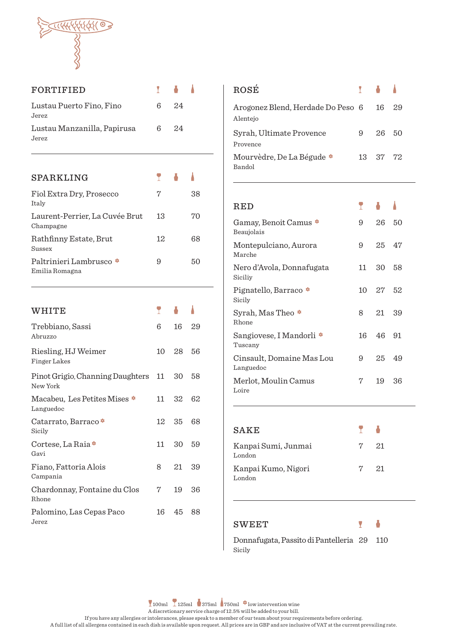

| FORTIFIED                                    | Ī  |    |    |
|----------------------------------------------|----|----|----|
| Lustau Puerto Fino, Fino<br>Jerez            | 6  | 24 |    |
| Lustau Manzanilla, Papirusa<br>Jerez         | 6  | 24 |    |
|                                              |    |    |    |
| SPARKLING                                    | T  |    |    |
| Fiol Extra Dry, Prosecco<br>Italy            | 7  |    | 38 |
| Laurent-Perrier, La Cuvée Brut<br>Champagne  | 13 |    | 70 |
| Rathfinny Estate, Brut<br>Sussex             | 12 |    | 68 |
| Paltrinieri Lambrusco *<br>Emilia Romagna    | 9  |    | 50 |
|                                              |    |    |    |
|                                              |    |    |    |
| WHITE                                        | T  |    |    |
| Trebbiano, Sassi<br>Abruzzo                  | 6  | 16 | 29 |
| Riesling, HJ Weimer<br>Finger Lakes          | 10 | 28 | 56 |
| Pinot Grigio, Channing Daughters<br>New York | 11 | 30 | 58 |
| Macabeu, Les Petites Mises *<br>Languedoc    | 11 | 32 | 62 |
| Catarrato, Barraco *<br>Sicily               | 12 | 35 | 68 |
| Cortese, La Raia *<br>Gavi                   | 11 | 30 | 59 |
| Fiano, Fattoria Alois<br>Campania            | 8  | 21 | 39 |
| Chardonnay, Fontaine du Clos<br>Rhone        | 7  | 19 | 36 |

| <b>ROSÉ</b>                                   | <b>T A A</b> |          |    |
|-----------------------------------------------|--------------|----------|----|
| Arogonez Blend, Herdade Do Peso 6<br>Alentejo |              | 16       | 29 |
| Syrah, Ultimate Provence<br>Provence          | 9            | 26       | 50 |
| Mourvèdre, De La Bégude $*$<br>Bandol         |              | 13 37 72 |    |

| $\operatorname{RED}$                   |    |     |    |
|----------------------------------------|----|-----|----|
| Gamay, Benoit Camus *<br>Beaujolais    | 9  | 26  | 50 |
| Montepulciano, Aurora<br>Marche        | 9  | 25  | 47 |
| Nero d'Avola, Donnafugata<br>Siciliy   | 11 | 30  | 58 |
| Pignatello, Barraco *<br>Sicily        | 10 | 27  | 52 |
| Syrah, Mas Theo *<br><b>Rhone</b>      | 8  | 21  | 39 |
| Sangiovese, I Mandorli *<br>Tuscany    | 16 | 46. | 91 |
| Cinsault, Domaine Mas Lou<br>Languedoc | 9  | 25  | 49 |
| Merlot, Moulin Camus<br>Loire          | 7  | 19  | 36 |

| SAKE                          | <b>P 6</b> |  |
|-------------------------------|------------|--|
| Kanpai Sumi, Junmai<br>London | $7 \t21$   |  |
| Kanpai Kumo, Nigori<br>London | $7 \t21$   |  |

## SWEET

Donnafugata, Passito di Pantelleria 29 110 Sicily

Ō

Ÿ

100ml  $\left[ \frac{125 \text{ml}}{375 \text{ml}} \right]$  750ml  $\bullet$  low intervention wine

A discretionary service charge of 12.5% will be added to your bill.

If you have any allergies or intolerances, please speak to a member of our team about your requirements before ordering.

A full list of all allergens contained in each dish is available upon request. All prices are in GBP and are inclusive of VAT at the current prevailing rate.